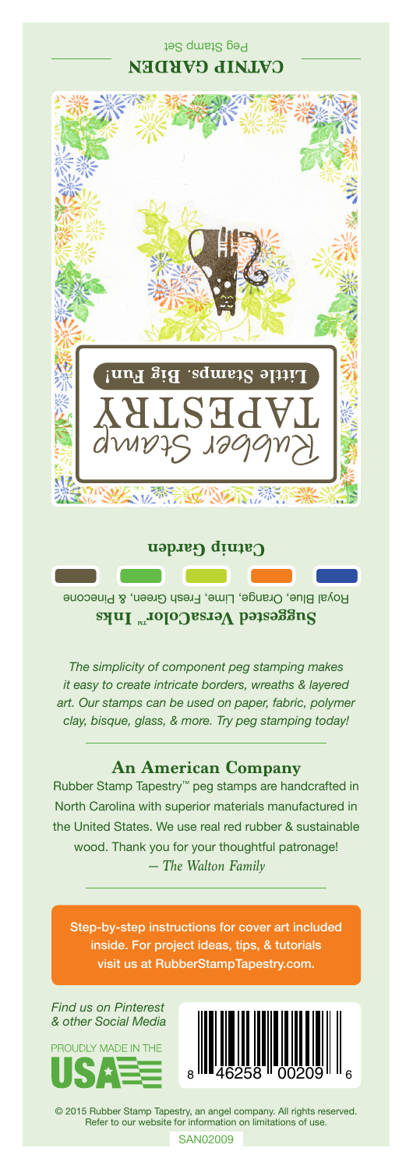## Peg Stamp Set **CATNIP GARDEN**



**Catnip Garden**

Royal Blue, Orange, Lime, Fresh Green, & Pinecone **Saggested VersaColor** Inks

*The simplicity of component peg stamping makes it easy to create intricate borders, wreaths & layered art. Our stamps can be used on paper, fabric, polymer clay, bisque, glass, & more. Try peg stamping today!*

## **An American Company**

*— The Walton Family* Rubber Stamp Tapestry™ peg stamps are handcrafted in North Carolina with superior materials manufactured in the United States. We use real red rubber & sustainable wood. Thank you for your thoughtful patronage!

Step-by-step instructions for cover art included inside. For project ideas, tips, & tutorials visit us at RubberStampTapestry.com.

*Find us on Pinterest & other Social Media*





© 2015 Rubber Stamp Tapestry, an angel company. All rights reserved. Refer to our website for information on limitations of use.